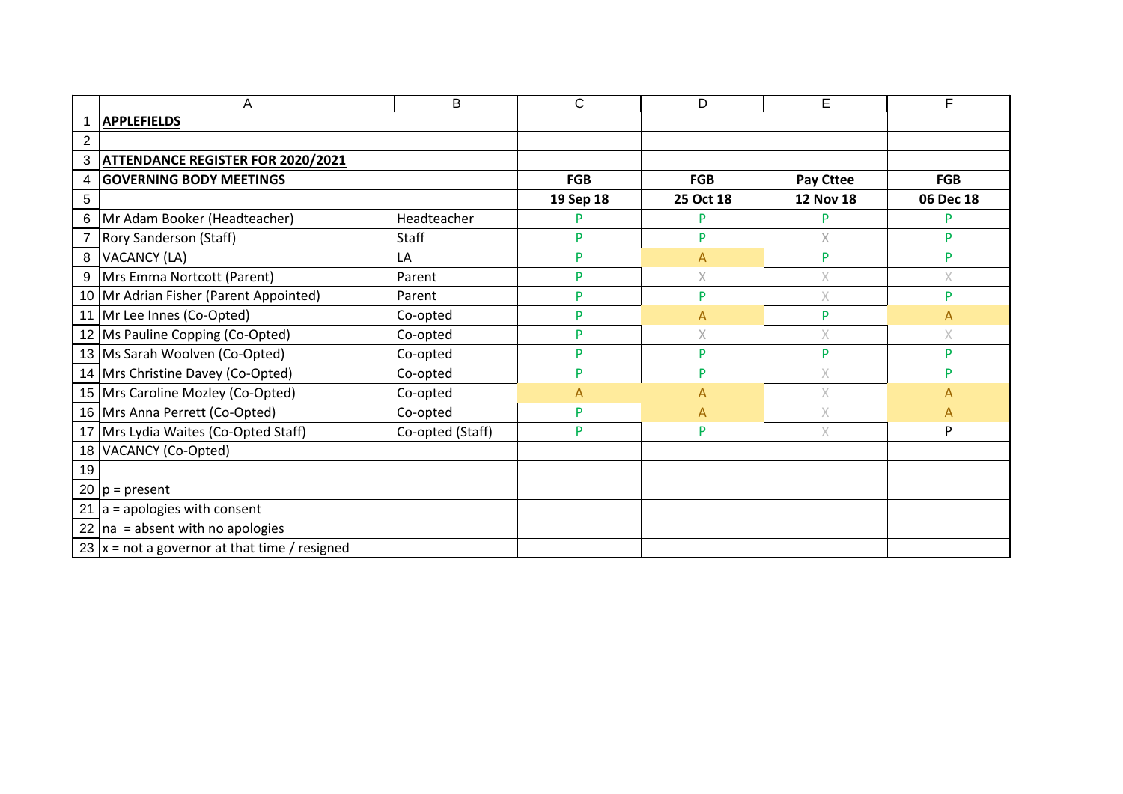|    | Α                                               | B                | C          | D            | E                                                                                                          | F          |
|----|-------------------------------------------------|------------------|------------|--------------|------------------------------------------------------------------------------------------------------------|------------|
|    | <b>APPLEFIELDS</b>                              |                  |            |              |                                                                                                            |            |
| 2  |                                                 |                  |            |              |                                                                                                            |            |
| 3  | <b>ATTENDANCE REGISTER FOR 2020/2021</b>        |                  |            |              |                                                                                                            |            |
| 4  | <b>GOVERNING BODY MEETINGS</b>                  |                  | <b>FGB</b> | <b>FGB</b>   | <b>Pay Cttee</b>                                                                                           | <b>FGB</b> |
| 5  |                                                 |                  | 19 Sep 18  | 25 Oct 18    | <b>12 Nov 18</b>                                                                                           | 06 Dec 18  |
| 6  | Mr Adam Booker (Headteacher)                    | Headteacher      | P          | P            | P                                                                                                          | P          |
|    | Rory Sanderson (Staff)                          | <b>Staff</b>     | P          | P            | $\times$                                                                                                   | P          |
| 8  | VACANCY (LA)                                    | LA               | P          | A            | P                                                                                                          | P          |
|    | 9   Mrs Emma Nortcott (Parent)                  | Parent           | P          | $\mathsf X$  | $\times$                                                                                                   | Χ          |
|    | 10 Mr Adrian Fisher (Parent Appointed)          | Parent           | P          | P            | $\mathsf X$                                                                                                | D          |
|    | 11 Mr Lee Innes (Co-Opted)                      | Co-opted         | P          | Α            | P                                                                                                          | А          |
|    | 12 Ms Pauline Copping (Co-Opted)                | Co-opted         | P          | $\mathsf X$  | $\times$                                                                                                   | X          |
|    | 13 Ms Sarah Woolven (Co-Opted)                  | Co-opted         | P          | P            | P                                                                                                          | P          |
|    | 14 Mrs Christine Davey (Co-Opted)               | Co-opted         | P          | P            | $\mathsf{X}% _{T}=\mathsf{X}_{T}\!\left( a,b\right) ,\ \mathsf{Y}_{T}=\mathsf{Y}_{T}\!\left( a,b\right) ,$ | D          |
|    | 15 Mrs Caroline Mozley (Co-Opted)               | Co-opted         | A          | A            | $\times$                                                                                                   | А          |
|    | 16 Mrs Anna Perrett (Co-Opted)                  | Co-opted         | P          | $\mathsf{A}$ | $\times$                                                                                                   | А          |
|    | 17 Mrs Lydia Waites (Co-Opted Staff)            | Co-opted (Staff) | P          | P            | $\mathsf X$                                                                                                | P          |
|    | 18 VACANCY (Co-Opted)                           |                  |            |              |                                                                                                            |            |
| 19 |                                                 |                  |            |              |                                                                                                            |            |
|    | 20 $ p =$ present                               |                  |            |              |                                                                                                            |            |
|    | 21 $ a =$ apologies with consent                |                  |            |              |                                                                                                            |            |
|    | 22 $\ln a$ = absent with no apologies           |                  |            |              |                                                                                                            |            |
|    | 23 $ x = not a governor at that time / resized$ |                  |            |              |                                                                                                            |            |